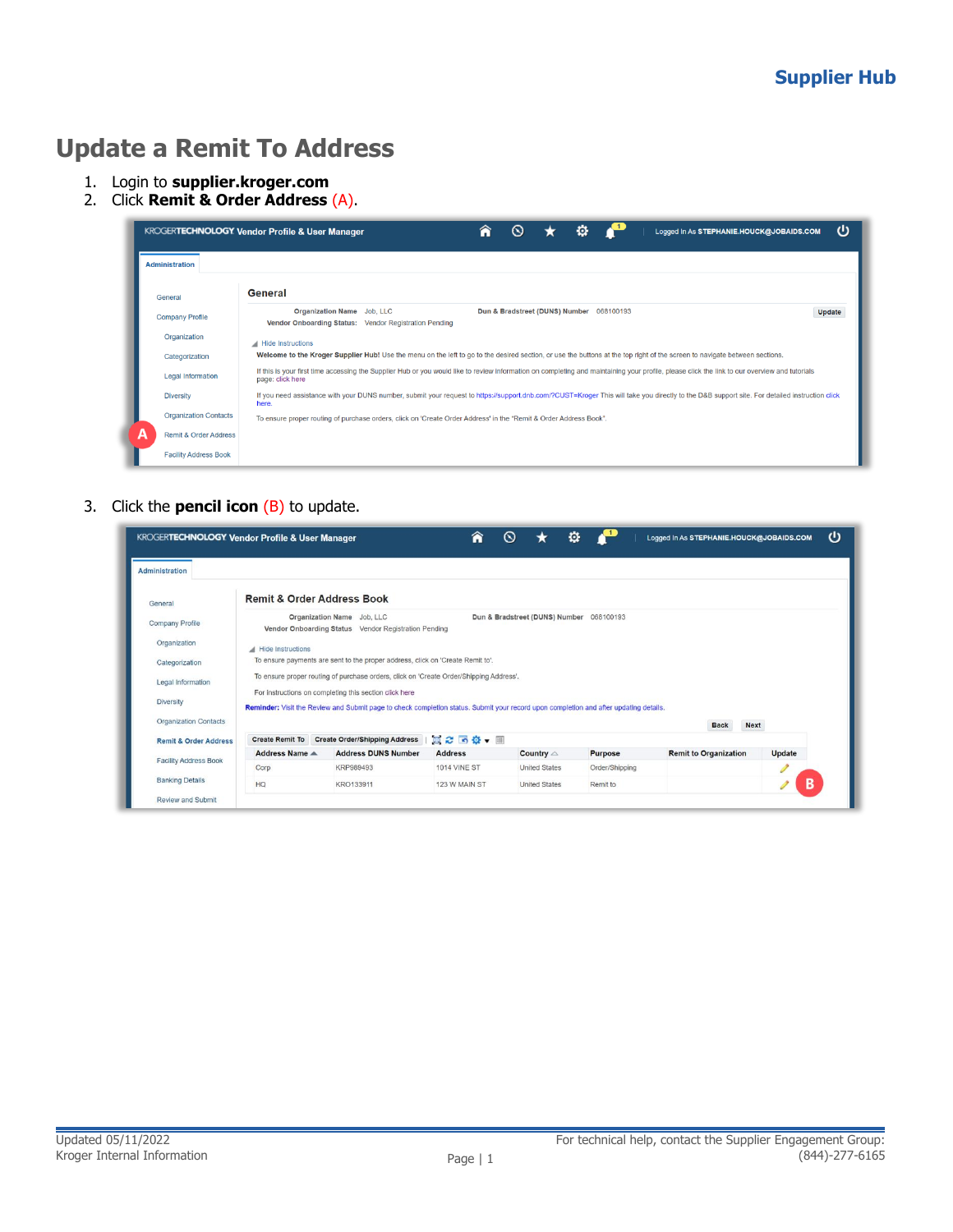## **Update a Remit To Address**

- 1. Login to **supplier.kroger.com**
- 2. Click **Remit & Order Address** (A).

|                                       | ധ<br>⋒<br>o<br><b>KROGERTECHNOLOGY Vendor Profile &amp; User Manager</b><br>$\sim$<br>Logged In As STEPHANIE.HOUCK@JOBAIDS.COM                                                                                    |  |  |  |  |  |
|---------------------------------------|-------------------------------------------------------------------------------------------------------------------------------------------------------------------------------------------------------------------|--|--|--|--|--|
| <b>Administration</b>                 |                                                                                                                                                                                                                   |  |  |  |  |  |
| General                               | General                                                                                                                                                                                                           |  |  |  |  |  |
| <b>Company Profile</b>                | Organization Name Job, LLC<br>Dun & Bradstreet (DUNS) Number 068100193<br>Update<br>Vendor Onboarding Status: Vendor Registration Pending                                                                         |  |  |  |  |  |
| Organization                          | Hide Instructions                                                                                                                                                                                                 |  |  |  |  |  |
| Categorization                        | Welcome to the Kroger Supplier Hub! Use the menu on the left to go to the desired section, or use the buttons at the top right of the screen to navigate between sections.                                        |  |  |  |  |  |
| <b>Legal Information</b>              | If this is your first time accessing the Supplier Hub or you would like to review information on completing and maintaining your profile, please click the link to our overview and tutorials<br>page: click here |  |  |  |  |  |
| <b>Diversity</b>                      | If you need assistance with your DUNS number, submit your request to https://support.dnb.com/?CUST=Kroger This will take you directly to the D&B support site. For detailed instruction click<br>here.            |  |  |  |  |  |
| <b>Organization Contacts</b>          | To ensure proper routing of purchase orders, click on 'Create Order Address' in the "Remit & Order Address Book".                                                                                                 |  |  |  |  |  |
| А<br><b>Remit &amp; Order Address</b> |                                                                                                                                                                                                                   |  |  |  |  |  |
| <b>Facility Address Book</b>          |                                                                                                                                                                                                                   |  |  |  |  |  |

## 3. Click the **pencil icon** (B) to update.

| <b>KROGERTECHNOLOGY Vendor Profile &amp; User Manager</b> |                                                                                                                                                                                                 |                                                                                    |                     | ര                                        | o              | Logged In As STEPHANIE.HOUCK@JOBAIDS.COM |               |
|-----------------------------------------------------------|-------------------------------------------------------------------------------------------------------------------------------------------------------------------------------------------------|------------------------------------------------------------------------------------|---------------------|------------------------------------------|----------------|------------------------------------------|---------------|
| <b>Administration</b>                                     |                                                                                                                                                                                                 |                                                                                    |                     |                                          |                |                                          |               |
| General                                                   | <b>Remit &amp; Order Address Book</b>                                                                                                                                                           |                                                                                    |                     |                                          |                |                                          |               |
| Company Profile                                           |                                                                                                                                                                                                 | Organization Name Job, LLC<br>Vendor Onboarding Status Vendor Registration Pending |                     | Dun & Bradstreet (DUNS) Number 068100193 |                |                                          |               |
| Organization                                              | <b>Hide Instructions</b>                                                                                                                                                                        |                                                                                    |                     |                                          |                |                                          |               |
| Categorization                                            | To ensure payments are sent to the proper address, click on 'Create Remit to'.                                                                                                                  |                                                                                    |                     |                                          |                |                                          |               |
| Legal Information                                         | To ensure proper routing of purchase orders, click on 'Create Order/Shipping Address',                                                                                                          |                                                                                    |                     |                                          |                |                                          |               |
| <b>Diversity</b>                                          | For instructions on completing this section click here<br>Reminder: Visit the Review and Submit page to check completion status. Submit your record upon completion and after updating details. |                                                                                    |                     |                                          |                |                                          |               |
| <b>Organization Contacts</b>                              | <b>Next</b><br><b>Back</b>                                                                                                                                                                      |                                                                                    |                     |                                          |                |                                          |               |
| <b>Remit &amp; Order Address</b>                          | <b>Create Remit To</b>                                                                                                                                                                          | <b>Create Order/Shipping Address</b>                                               | 真ご 「位、皿             |                                          |                |                                          |               |
|                                                           | Address Name ▲                                                                                                                                                                                  | <b>Address DUNS Number</b>                                                         | <b>Address</b>      | Country $\triangle$                      | <b>Purpose</b> | <b>Remit to Organization</b>             | <b>Update</b> |
| <b>Facility Address Book</b>                              | Corp                                                                                                                                                                                            | KRP989493                                                                          | <b>1014 VINE ST</b> | <b>United States</b>                     | Order/Shipping |                                          |               |
| <b>Banking Details</b>                                    | HQ                                                                                                                                                                                              | KRO133911                                                                          | 123 W MAIN ST       | <b>United States</b>                     | Remit to       |                                          | в             |
| <b>Review and Submit</b>                                  |                                                                                                                                                                                                 |                                                                                    |                     |                                          |                |                                          |               |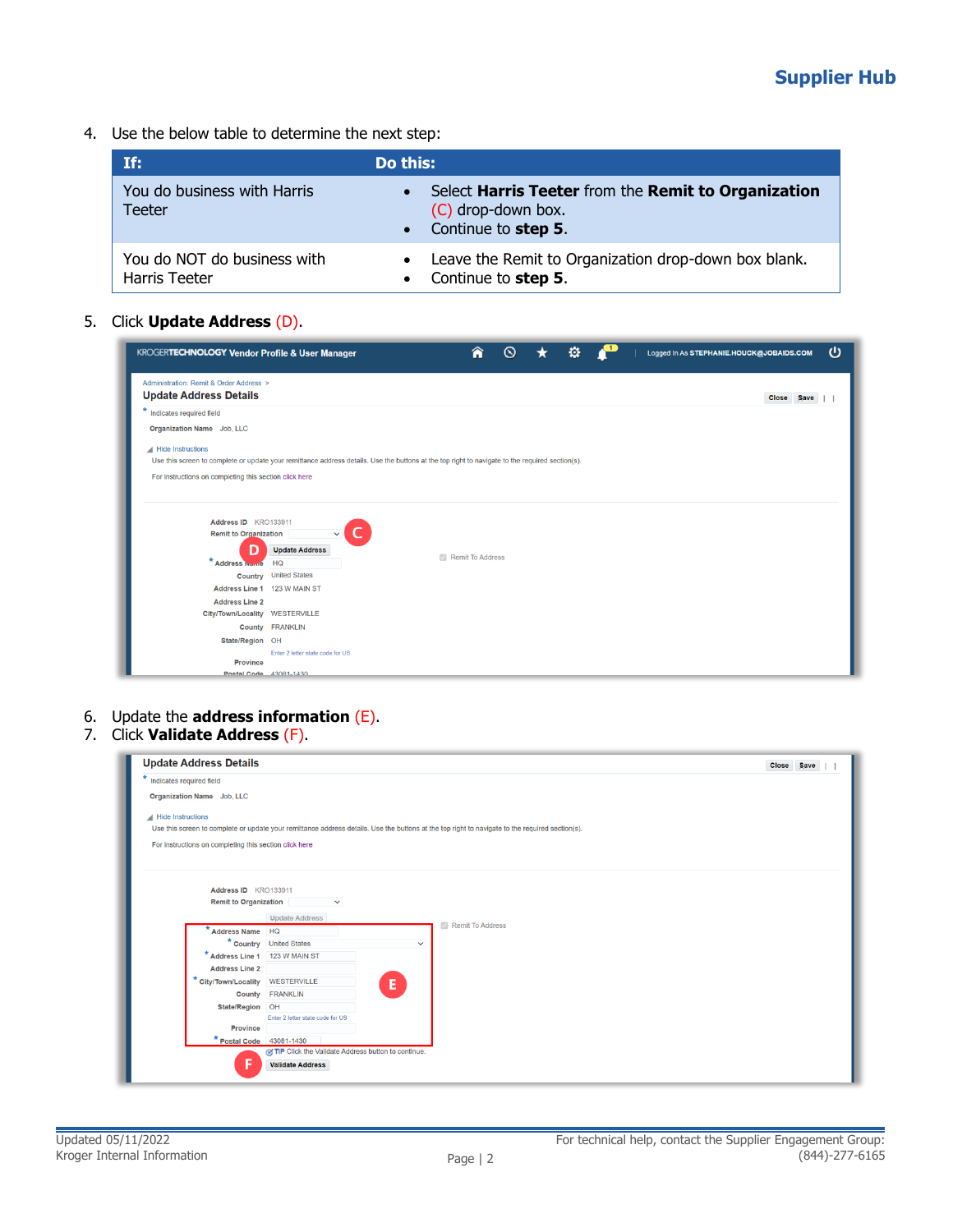## **Supplier Hub**

4. Use the below table to determine the next step:

| If:                                          | Do this:                                                                                           |
|----------------------------------------------|----------------------------------------------------------------------------------------------------|
| You do business with Harris<br><b>Teeter</b> | Select Harris Teeter from the Remit to Organization<br>(C) drop-down box.<br>• Continue to step 5. |
| You do NOT do business with<br>Harris Teeter | Leave the Remit to Organization drop-down box blank.<br>Continue to step 5.                        |

5. Click **Update Address** (D).

| KROGERTECHNOLOGY Vendor Profile & User Manager                              |                                                                                                                                                 | A                | $\omega$ | o |  | Logged In As STEPHANIE.HOUCK@JOBAIDS.COM | $\mathcal{O}$ |
|-----------------------------------------------------------------------------|-------------------------------------------------------------------------------------------------------------------------------------------------|------------------|----------|---|--|------------------------------------------|---------------|
| Administration: Remit & Order Address ><br><b>Update Address Details</b>    |                                                                                                                                                 |                  |          |   |  | Close Save                               |               |
| * Indicates required field                                                  |                                                                                                                                                 |                  |          |   |  |                                          |               |
| Organization Name Job, LLC                                                  |                                                                                                                                                 |                  |          |   |  |                                          |               |
| Hide Instructions<br>For instructions on completing this section click here | Use this screen to complete or update your remittance address details. Use the buttons at the top right to navigate to the required section(s). |                  |          |   |  |                                          |               |
| Address ID KRO133911<br><b>Remit to Organization</b>                        | $\checkmark$                                                                                                                                    |                  |          |   |  |                                          |               |
| D                                                                           | <b>Update Address</b>                                                                                                                           | Remit To Address |          |   |  |                                          |               |
| * Address Name                                                              | HO                                                                                                                                              |                  |          |   |  |                                          |               |
|                                                                             | Country United States<br>Address Line 1 123 W MAIN ST                                                                                           |                  |          |   |  |                                          |               |
| <b>Address Line 2</b>                                                       |                                                                                                                                                 |                  |          |   |  |                                          |               |
| City/Town/Locality WESTERVILLE                                              |                                                                                                                                                 |                  |          |   |  |                                          |               |
|                                                                             | County FRANKLIN                                                                                                                                 |                  |          |   |  |                                          |               |
| State/Region OH                                                             |                                                                                                                                                 |                  |          |   |  |                                          |               |
| Province<br>Postal Code 43081-1430                                          | Enter 2 letter state code for US                                                                                                                |                  |          |   |  |                                          |               |

- 6. Update the **address information** (E).
- 7. Click **Validate Address** (F).

| <b>Update Address Details</b>                          |                                                                                                                                                 | Close Save |
|--------------------------------------------------------|-------------------------------------------------------------------------------------------------------------------------------------------------|------------|
| *<br>Indicates required field                          |                                                                                                                                                 |            |
| Organization Name Job, LLC                             |                                                                                                                                                 |            |
| Hide Instructions                                      |                                                                                                                                                 |            |
|                                                        | Use this screen to complete or update your remittance address details. Use the buttons at the top right to navigate to the required section(s). |            |
| For instructions on completing this section click here |                                                                                                                                                 |            |
|                                                        |                                                                                                                                                 |            |
|                                                        |                                                                                                                                                 |            |
| Address ID KRO133911                                   |                                                                                                                                                 |            |
| <b>Remit to Organization</b>                           | $\checkmark$                                                                                                                                    |            |
|                                                        | <b>Update Address</b>                                                                                                                           |            |
| * Address Name                                         | Remit To Address<br>HQ                                                                                                                          |            |
|                                                        | * Country United States<br>$\checkmark$                                                                                                         |            |
| * Address Line 1   123 W MAIN ST                       |                                                                                                                                                 |            |
| <b>Address Line 2</b>                                  |                                                                                                                                                 |            |
| * City/Town/Locality WESTERVILLE                       |                                                                                                                                                 |            |
|                                                        | Ε.<br>County FRANKLIN                                                                                                                           |            |
| State/Region OH                                        |                                                                                                                                                 |            |
|                                                        | Enter 2 letter state code for US                                                                                                                |            |
| <b>Province</b>                                        |                                                                                                                                                 |            |
| * Postal Code 43081-1430                               |                                                                                                                                                 |            |
|                                                        | TIP Click the Validate Address button to continue.                                                                                              |            |
| F                                                      | <b>Validate Address</b>                                                                                                                         |            |
|                                                        |                                                                                                                                                 |            |